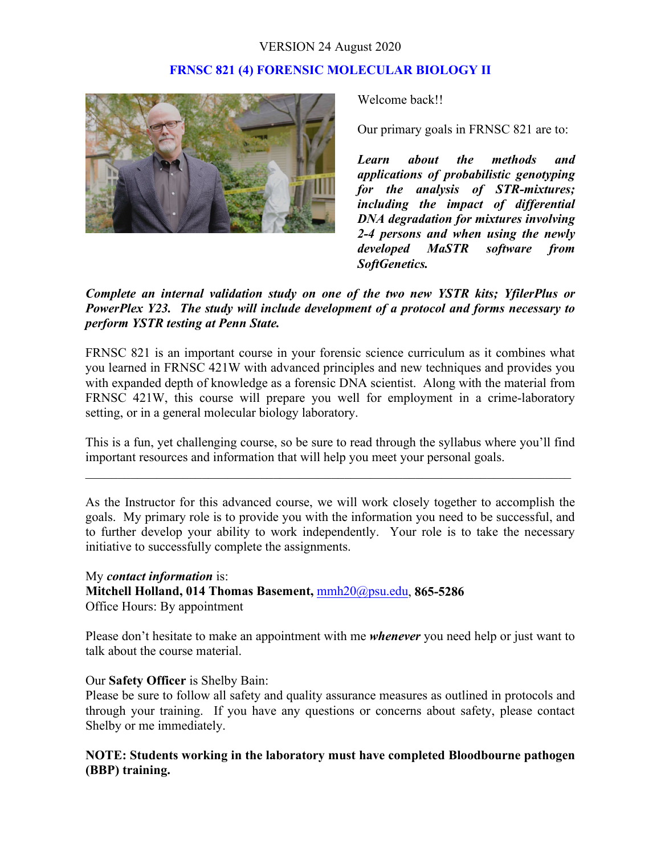# **FRNSC 821 (4) FORENSIC MOLECULAR BIOLOGY II**



Welcome back!!

Our primary goals in FRNSC 821 are to:

*Learn about the methods and applications of probabilistic genotyping for the analysis of STR-mixtures; including the impact of differential DNA degradation for mixtures involving 2-4 persons and when using the newly developed MaSTR software from SoftGenetics.*

# *Complete an internal validation study on one of the two new YSTR kits; YfilerPlus or PowerPlex Y23. The study will include development of a protocol and forms necessary to perform YSTR testing at Penn State.*

FRNSC 821 is an important course in your forensic science curriculum as it combines what you learned in FRNSC 421W with advanced principles and new techniques and provides you with expanded depth of knowledge as a forensic DNA scientist. Along with the material from FRNSC 421W, this course will prepare you well for employment in a crime-laboratory setting, or in a general molecular biology laboratory.

This is a fun, yet challenging course, so be sure to read through the syllabus where you'll find important resources and information that will help you meet your personal goals.

\_\_\_\_\_\_\_\_\_\_\_\_\_\_\_\_\_\_\_\_\_\_\_\_\_\_\_\_\_\_\_\_\_\_\_\_\_\_\_\_\_\_\_\_\_\_\_\_\_\_\_\_\_\_\_\_\_\_\_\_\_\_\_\_\_\_\_\_\_\_\_\_\_\_\_

As the Instructor for this advanced course, we will work closely together to accomplish the goals. My primary role is to provide you with the information you need to be successful, and to further develop your ability to work independently. Your role is to take the necessary initiative to successfully complete the assignments.

# My *contact information* is: **Mitchell Holland, 014 Thomas Basement,** [mmh20@psu.edu,](mailto:mmh20@psu.edu) **865-5286** Office Hours: By appointment

Please don't hesitate to make an appointment with me *whenever* you need help or just want to talk about the course material.

### Our **Safety Officer** is Shelby Bain:

Please be sure to follow all safety and quality assurance measures as outlined in protocols and through your training. If you have any questions or concerns about safety, please contact Shelby or me immediately.

# **NOTE: Students working in the laboratory must have completed Bloodbourne pathogen (BBP) training.**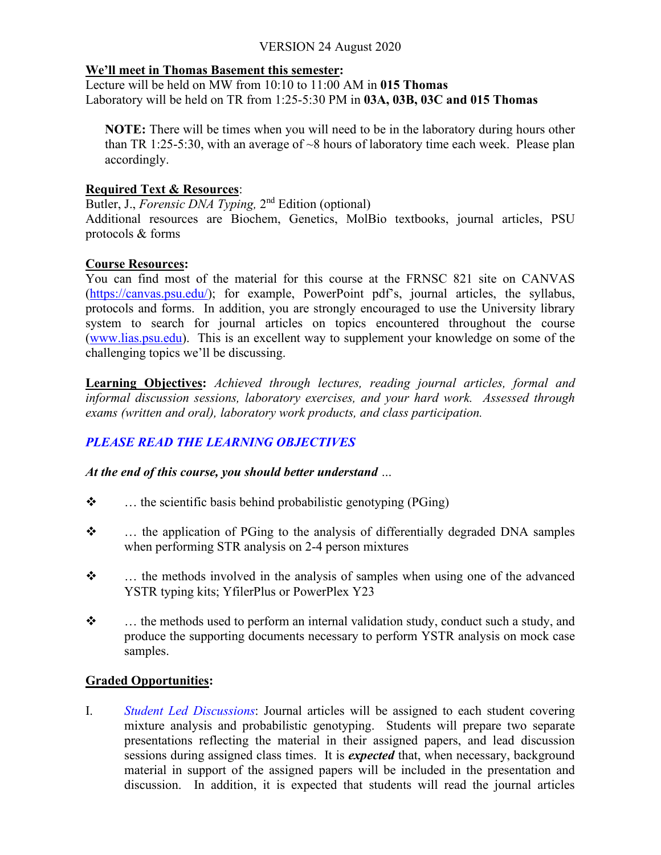#### **We'll meet in Thomas Basement this semester:**

Lecture will be held on MW from 10:10 to 11:00 AM in **015 Thomas** Laboratory will be held on TR from 1:25-5:30 PM in **03A, 03B, 03C and 015 Thomas**

**NOTE:** There will be times when you will need to be in the laboratory during hours other than TR 1:25-5:30, with an average of  $\sim$ 8 hours of laboratory time each week. Please plan accordingly.

# **Required Text & Resources**:

Butler, J., *Forensic DNA Typing*, 2<sup>nd</sup> Edition (optional) Additional resources are Biochem, Genetics, MolBio textbooks, journal articles, PSU protocols & forms

# **Course Resources:**

You can find most of the material for this course at the FRNSC 821 site on CANVAS [\(https://canvas.psu.edu/\)](https://canvas.psu.edu/); for example, PowerPoint pdf's, journal articles, the syllabus, protocols and forms. In addition, you are strongly encouraged to use the University library system to search for journal articles on topics encountered throughout the course [\(www.lias.psu.edu\)](http://www.lias.psu.edu/). This is an excellent way to supplement your knowledge on some of the challenging topics we'll be discussing.

**Learning Objectives:** *Achieved through lectures, reading journal articles, formal and informal discussion sessions, laboratory exercises, and your hard work. Assessed through exams (written and oral), laboratory work products, and class participation.*

# *PLEASE READ THE LEARNING OBJECTIVES*

*At the end of this course, you should better understand …*

- $\mathbf{\hat{P}}$  ... the scientific basis behind probabilistic genotyping (PGing)
- $\div$  ... the application of PGing to the analysis of differentially degraded DNA samples when performing STR analysis on 2-4 person mixtures
- $\ddot{\bullet}$  ... the methods involved in the analysis of samples when using one of the advanced YSTR typing kits; YfilerPlus or PowerPlex Y23
- \*  $\cdot$  ... the methods used to perform an internal validation study, conduct such a study, and produce the supporting documents necessary to perform YSTR analysis on mock case samples.

# **Graded Opportunities:**

I. *Student Led Discussions*: Journal articles will be assigned to each student covering mixture analysis and probabilistic genotyping. Students will prepare two separate presentations reflecting the material in their assigned papers, and lead discussion sessions during assigned class times. It is *expected* that, when necessary, background material in support of the assigned papers will be included in the presentation and discussion. In addition, it is expected that students will read the journal articles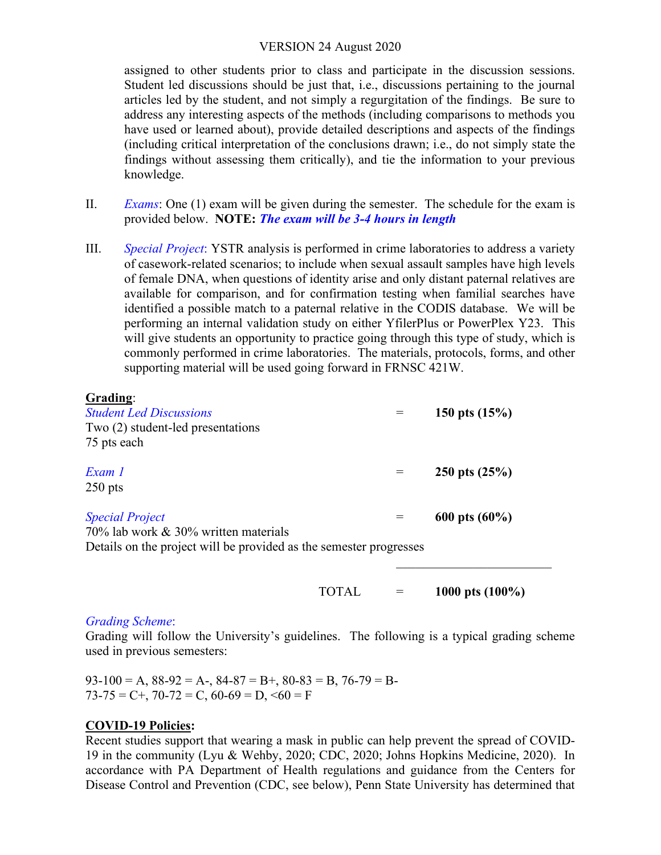assigned to other students prior to class and participate in the discussion sessions. Student led discussions should be just that, i.e., discussions pertaining to the journal articles led by the student, and not simply a regurgitation of the findings. Be sure to address any interesting aspects of the methods (including comparisons to methods you have used or learned about), provide detailed descriptions and aspects of the findings (including critical interpretation of the conclusions drawn; i.e., do not simply state the findings without assessing them critically), and tie the information to your previous knowledge.

- II. *Exams*: One (1) exam will be given during the semester. The schedule for the exam is provided below. **NOTE:** *The exam will be 3-4 hours in length*
- III. *Special Project*: YSTR analysis is performed in crime laboratories to address a variety of casework-related scenarios; to include when sexual assault samples have high levels of female DNA, when questions of identity arise and only distant paternal relatives are available for comparison, and for confirmation testing when familial searches have identified a possible match to a paternal relative in the CODIS database. We will be performing an internal validation study on either YfilerPlus or PowerPlex Y23. This will give students an opportunity to practice going through this type of study, which is commonly performed in crime laboratories. The materials, protocols, forms, and other supporting material will be used going forward in FRNSC 421W.

#### **Grading**:

| <b>Student Led Discussions</b><br>Two (2) student-led presentations                                                                  |     | 150 pts $(15%)$  |
|--------------------------------------------------------------------------------------------------------------------------------------|-----|------------------|
| 75 pts each                                                                                                                          |     |                  |
| Exam 1<br>$250$ pts                                                                                                                  | $=$ | 250 pts $(25%)$  |
| <b>Special Project</b><br>70% lab work & 30% written materials<br>Details on the project will be provided as the semester progresses | $=$ | 600 pts $(60\%)$ |

TOTAL = **1000 pts (100%)**

#### *Grading Scheme*:

Grading will follow the University's guidelines. The following is a typical grading scheme used in previous semesters:

 $93-100 = A$ ,  $88-92 = A$ -,  $84-87 = B$ +,  $80-83 = B$ ,  $76-79 = B$ - $73-75 = C$ +,  $70-72 = C$ ,  $60-69 = D$ ,  $560 = F$ 

### **COVID-19 Policies:**

Recent studies support that wearing a mask in public can help prevent the spread of COVID-19 in the community (Lyu & Wehby, 2020; CDC, 2020; Johns Hopkins Medicine, 2020). In accordance with PA Department of Health regulations and guidance from the Centers for Disease Control and Prevention (CDC, see below), Penn State University has determined that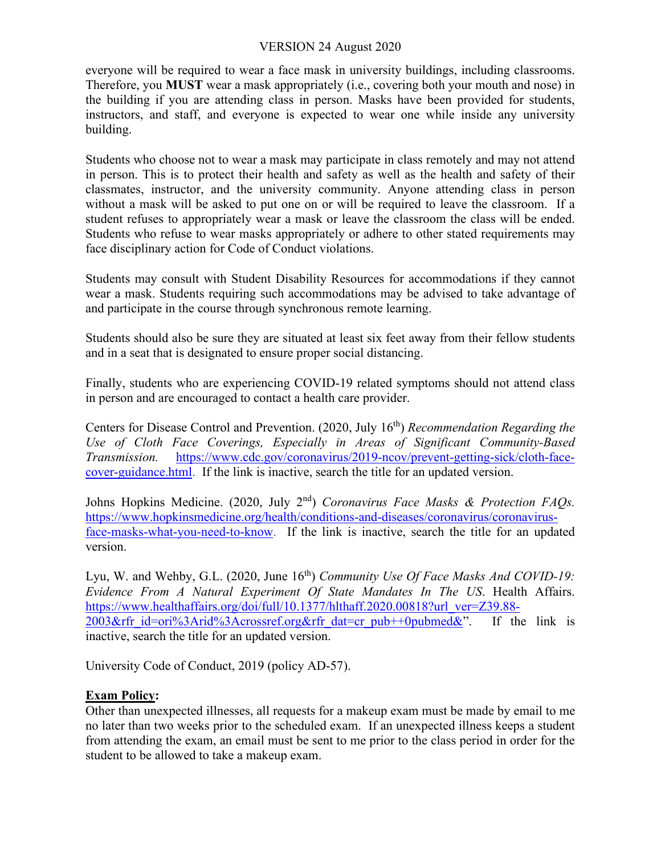everyone will be required to wear a face mask in university buildings, including classrooms. Therefore, you **MUST** wear a mask appropriately (i.e., covering both your mouth and nose) in the building if you are attending class in person. Masks have been provided for students, instructors, and staff, and everyone is expected to wear one while inside any university building.

Students who choose not to wear a mask may participate in class remotely and may not attend in person. This is to protect their health and safety as well as the health and safety of their classmates, instructor, and the university community. Anyone attending class in person without a mask will be asked to put one on or will be required to leave the classroom. If a student refuses to appropriately wear a mask or leave the classroom the class will be ended. Students who refuse to wear masks appropriately or adhere to other stated requirements may face disciplinary action for Code of Conduct violations.

Students may consult with Student Disability Resources for accommodations if they cannot wear a mask. Students requiring such accommodations may be advised to take advantage of and participate in the course through synchronous remote learning.

Students should also be sure they are situated at least six feet away from their fellow students and in a seat that is designated to ensure proper social distancing.

Finally, students who are experiencing COVID-19 related symptoms should not attend class in person and are encouraged to contact a health care provider.

Centers for Disease Control and Prevention. (2020, July 16th) *Recommendation Regarding the Use of Cloth Face Coverings, Especially in Areas of Significant Community-Based Transmission.* [https://www.cdc.gov/coronavirus/2019-ncov/prevent-getting-sick/cloth-face](https://www.cdc.gov/coronavirus/2019-ncov/prevent-getting-sick/cloth-face-cover-guidance.html)[cover-guidance.html.](https://www.cdc.gov/coronavirus/2019-ncov/prevent-getting-sick/cloth-face-cover-guidance.html) If the link is inactive, search the title for an updated version.

Johns Hopkins Medicine. (2020, July 2<sup>nd</sup>) *Coronavirus Face Masks & Protection FAQs.* [https://www.hopkinsmedicine.org/health/conditions-and-diseases/coronavirus/coronavirus](https://www.hopkinsmedicine.org/health/conditions-and-diseases/coronavirus/coronavirus-face-masks-what-you-need-to-know)[face-masks-what-you-need-to-know.](https://www.hopkinsmedicine.org/health/conditions-and-diseases/coronavirus/coronavirus-face-masks-what-you-need-to-know) If the link is inactive, search the title for an updated version.

Lyu, W. and Wehby, G.L. (2020, June 16th) *Community Use Of Face Masks And COVID-19: Evidence From A Natural Experiment Of State Mandates In The US*. Health Affairs. [https://www.healthaffairs.org/doi/full/10.1377/hlthaff.2020.00818?url\\_ver=Z39.88-](https://www.healthaffairs.org/doi/full/10.1377/hlthaff.2020.00818?url_ver=Z39.88-2003&rfr_id=ori%3Arid%3Acrossref.org&rfr_dat=cr_pub++0pubmed&) 2003&rfr id=ori%3Arid%3Acrossref.org&rfr dat=cr\_pub++0pubmed&". If the link is inactive, search the title for an updated version.

University Code of Conduct, 2019 (policy AD-57).

# **Exam Policy:**

Other than unexpected illnesses, all requests for a makeup exam must be made by email to me no later than two weeks prior to the scheduled exam. If an unexpected illness keeps a student from attending the exam, an email must be sent to me prior to the class period in order for the student to be allowed to take a makeup exam.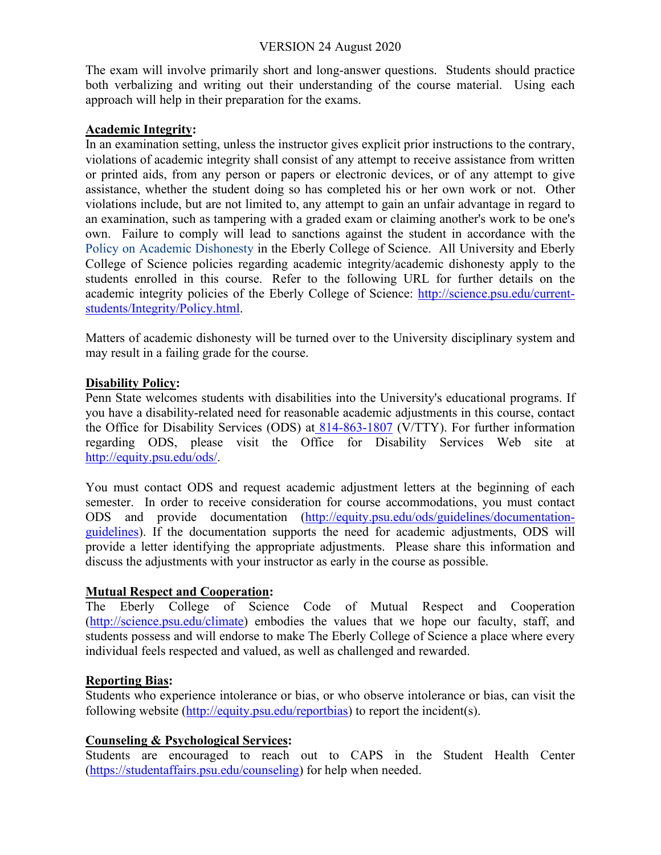The exam will involve primarily short and long-answer questions. Students should practice both verbalizing and writing out their understanding of the course material. Using each approach will help in their preparation for the exams.

### **Academic Integrity:**

In an examination setting, unless the instructor gives explicit prior instructions to the contrary, violations of academic integrity shall consist of any attempt to receive assistance from written or printed aids, from any person or papers or electronic devices, or of any attempt to give assistance, whether the student doing so has completed his or her own work or not. Other violations include, but are not limited to, any attempt to gain an unfair advantage in regard to an examination, such as tampering with a graded exam or claiming another's work to be one's own. Failure to comply will lead to sanctions against the student in accordance with the [Policy on Academic Dishonesty i](http://www.science.psu.edu/academic/Integrity/index.html)n the Eberly College of Science. All University and Eberly College of Science policies regarding academic integrity/academic dishonesty apply to the students enrolled in this course. Refer to the following URL for further details on the academic integrity policies of the Eberly College of Science: [http://science.psu.edu/current](http://science.psu.edu/current-students/Integrity/Policy.html)[students/Integrity/Policy.html.](http://science.psu.edu/current-students/Integrity/Policy.html)

Matters of academic dishonesty will be turned over to the University disciplinary system and may result in a failing grade for the course.

### **Disability Policy:**

Penn State welcomes students with disabilities into the University's educational programs. If you have a disability-related need for reasonable academic adjustments in this course, contact the Office for Disability Services (ODS) at [814-863-1807](callto:814-863-1807) (V/TTY). For further information regarding ODS, please visit the Office for Disability Services Web site at [http://equity.psu.edu/ods/.](http://equity.psu.edu/ods/)

You must contact ODS and request academic adjustment letters at the beginning of each semester. In order to receive consideration for course accommodations, you must contact ODS and provide documentation [\(http://equity.psu.edu/ods/guidelines/documentation](http://equity.psu.edu/ods/guidelines/documentation-guidelines)[guidelines\)](http://equity.psu.edu/ods/guidelines/documentation-guidelines). If the documentation supports the need for academic adjustments, ODS will provide a letter identifying the appropriate adjustments. Please share this information and discuss the adjustments with your instructor as early in the course as possible.

### **Mutual Respect and Cooperation:**

The Eberly College of Science Code of Mutual Respect and Cooperation [\(http://science.psu.edu/climate\)](http://science.psu.edu/climate) embodies the values that we hope our faculty, staff, and students possess and will endorse to make The Eberly College of Science a place where every individual feels respected and valued, as well as challenged and rewarded.

### **Reporting Bias:**

Students who experience intolerance or bias, or who observe intolerance or bias, can visit the following website [\(http://equity.psu.edu/reportbias\)](http://equity.psu.edu/reportbias) to report the incident(s).

### **Counseling & Psychological Services:**

Students are encouraged to reach out to CAPS in the Student Health Center [\(https://studentaffairs.psu.edu/counseling\)](https://studentaffairs.psu.edu/counseling) for help when needed.